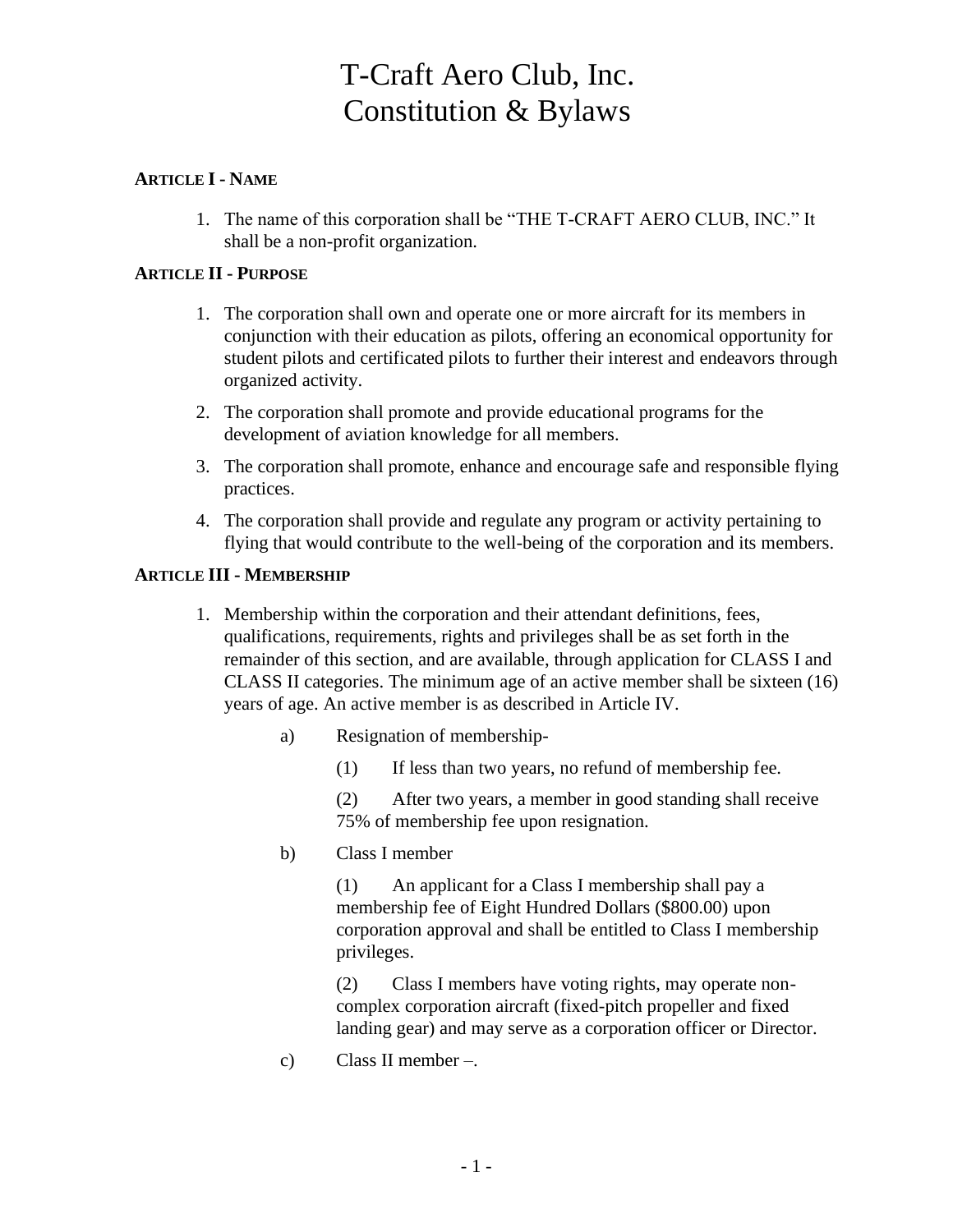# T-Craft Aero Club, Inc. Constitution & Bylaws

# **ARTICLE I - NAME**

1. The name of this corporation shall be "THE T-CRAFT AERO CLUB, INC." It shall be a non-profit organization.

# **ARTICLE II - PURPOSE**

- 1. The corporation shall own and operate one or more aircraft for its members in conjunction with their education as pilots, offering an economical opportunity for student pilots and certificated pilots to further their interest and endeavors through organized activity.
- 2. The corporation shall promote and provide educational programs for the development of aviation knowledge for all members.
- 3. The corporation shall promote, enhance and encourage safe and responsible flying practices.
- 4. The corporation shall provide and regulate any program or activity pertaining to flying that would contribute to the well-being of the corporation and its members.

#### **ARTICLE III - MEMBERSHIP**

- 1. Membership within the corporation and their attendant definitions, fees, qualifications, requirements, rights and privileges shall be as set forth in the remainder of this section, and are available, through application for CLASS I and CLASS II categories. The minimum age of an active member shall be sixteen (16) years of age. An active member is as described in Article IV.
	- a) Resignation of membership-
		- (1) If less than two years, no refund of membership fee.

(2) After two years, a member in good standing shall receive 75% of membership fee upon resignation.

b) Class I member

(1) An applicant for a Class I membership shall pay a membership fee of Eight Hundred Dollars (\$800.00) upon corporation approval and shall be entitled to Class I membership privileges.

(2) Class I members have voting rights, may operate noncomplex corporation aircraft (fixed-pitch propeller and fixed landing gear) and may serve as a corporation officer or Director.

c) Class II member –.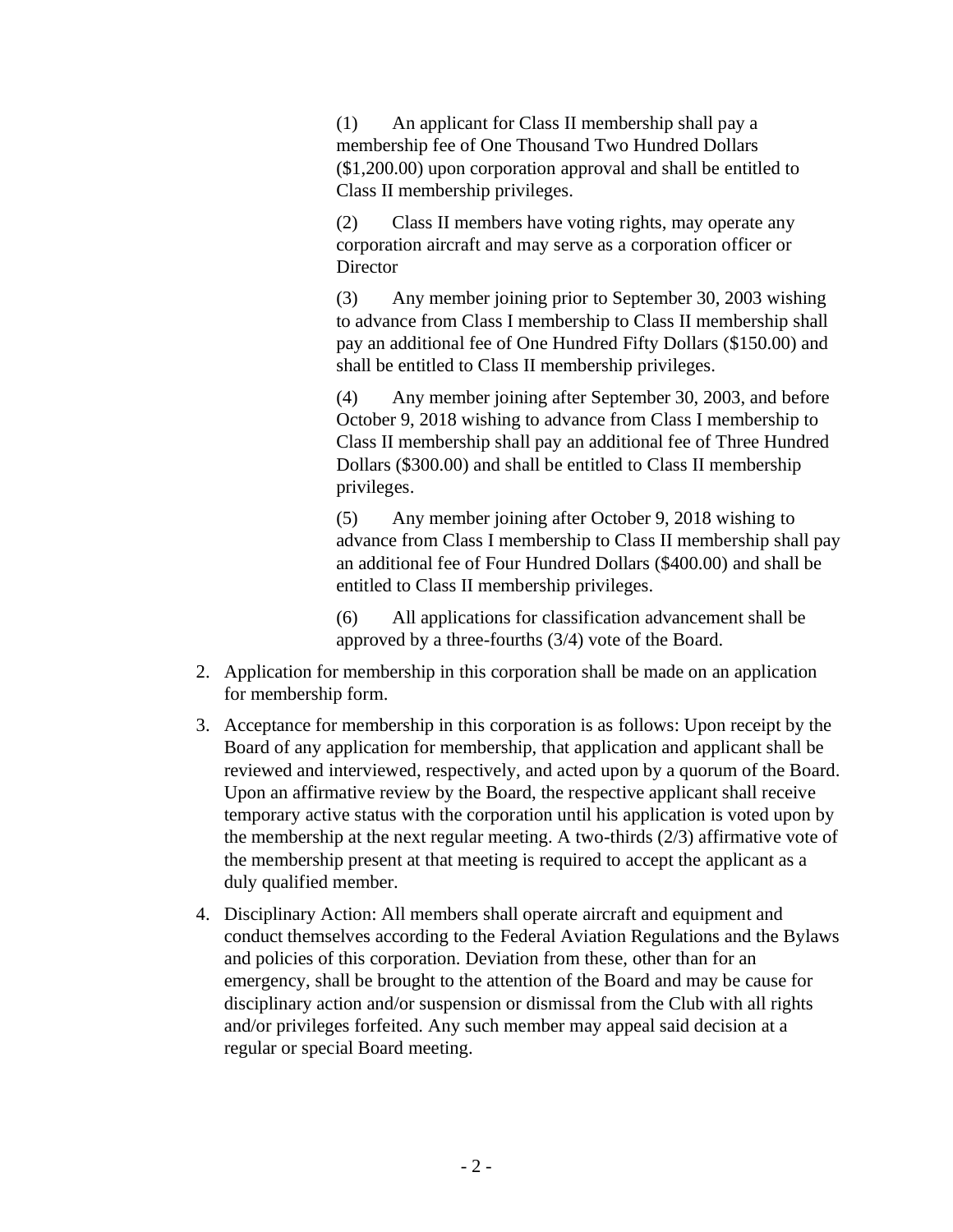(1) An applicant for Class II membership shall pay a membership fee of One Thousand Two Hundred Dollars (\$1,200.00) upon corporation approval and shall be entitled to Class II membership privileges.

(2) Class II members have voting rights, may operate any corporation aircraft and may serve as a corporation officer or **Director** 

(3) Any member joining prior to September 30, 2003 wishing to advance from Class I membership to Class II membership shall pay an additional fee of One Hundred Fifty Dollars (\$150.00) and shall be entitled to Class II membership privileges.

(4) Any member joining after September 30, 2003, and before October 9, 2018 wishing to advance from Class I membership to Class II membership shall pay an additional fee of Three Hundred Dollars (\$300.00) and shall be entitled to Class II membership privileges.

(5) Any member joining after October 9, 2018 wishing to advance from Class I membership to Class II membership shall pay an additional fee of Four Hundred Dollars (\$400.00) and shall be entitled to Class II membership privileges.

(6) All applications for classification advancement shall be approved by a three-fourths (3/4) vote of the Board.

- 2. Application for membership in this corporation shall be made on an application for membership form.
- 3. Acceptance for membership in this corporation is as follows: Upon receipt by the Board of any application for membership, that application and applicant shall be reviewed and interviewed, respectively, and acted upon by a quorum of the Board. Upon an affirmative review by the Board, the respective applicant shall receive temporary active status with the corporation until his application is voted upon by the membership at the next regular meeting. A two-thirds (2/3) affirmative vote of the membership present at that meeting is required to accept the applicant as a duly qualified member.
- 4. Disciplinary Action: All members shall operate aircraft and equipment and conduct themselves according to the Federal Aviation Regulations and the Bylaws and policies of this corporation. Deviation from these, other than for an emergency, shall be brought to the attention of the Board and may be cause for disciplinary action and/or suspension or dismissal from the Club with all rights and/or privileges forfeited. Any such member may appeal said decision at a regular or special Board meeting.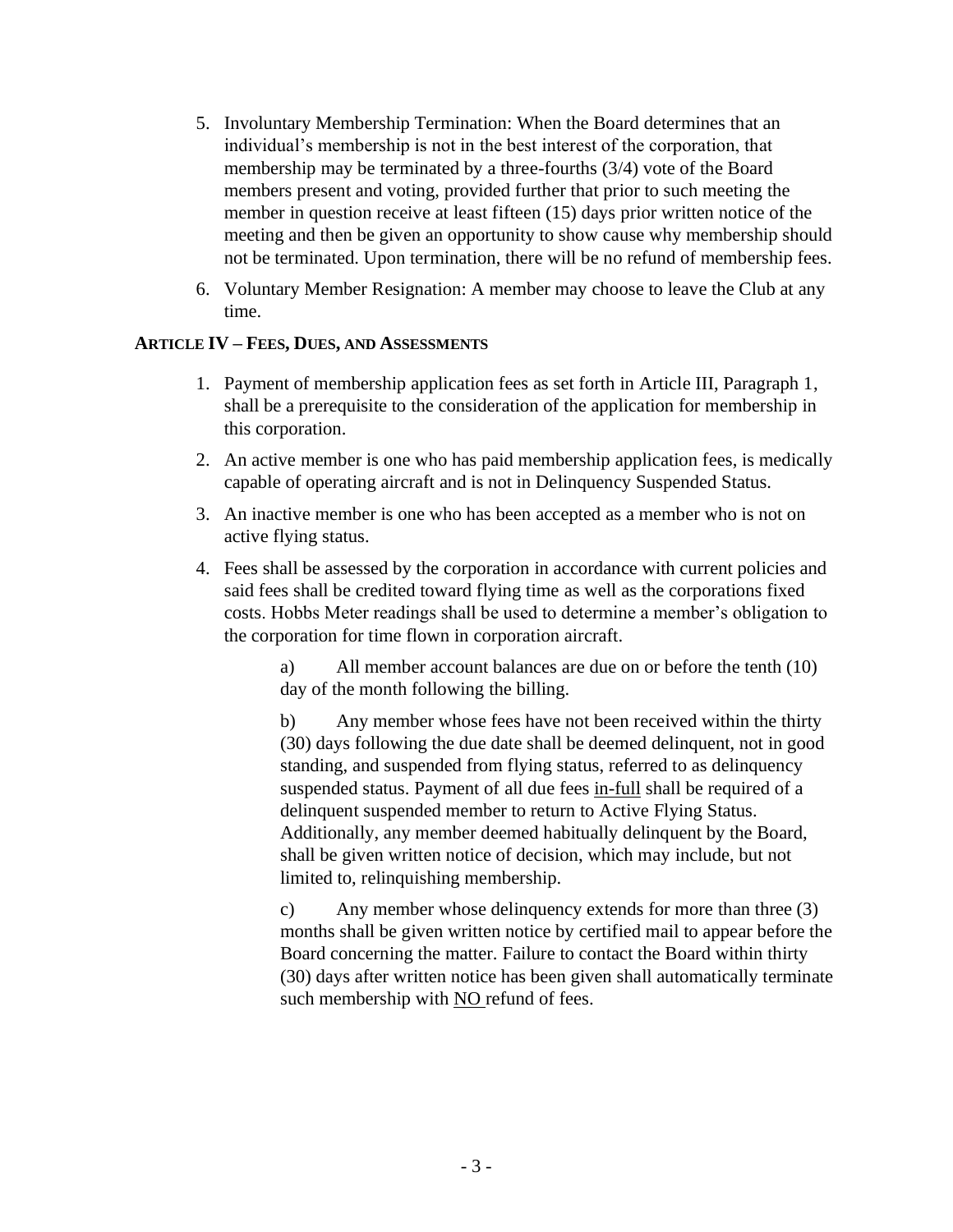- 5. Involuntary Membership Termination: When the Board determines that an individual's membership is not in the best interest of the corporation, that membership may be terminated by a three-fourths (3/4) vote of the Board members present and voting, provided further that prior to such meeting the member in question receive at least fifteen (15) days prior written notice of the meeting and then be given an opportunity to show cause why membership should not be terminated. Upon termination, there will be no refund of membership fees.
- 6. Voluntary Member Resignation: A member may choose to leave the Club at any time.

#### **ARTICLE IV – FEES, DUES, AND ASSESSMENTS**

- 1. Payment of membership application fees as set forth in Article III, Paragraph 1, shall be a prerequisite to the consideration of the application for membership in this corporation.
- 2. An active member is one who has paid membership application fees, is medically capable of operating aircraft and is not in Delinquency Suspended Status.
- 3. An inactive member is one who has been accepted as a member who is not on active flying status.
- 4. Fees shall be assessed by the corporation in accordance with current policies and said fees shall be credited toward flying time as well as the corporations fixed costs. Hobbs Meter readings shall be used to determine a member's obligation to the corporation for time flown in corporation aircraft.

a) All member account balances are due on or before the tenth (10) day of the month following the billing.

b) Any member whose fees have not been received within the thirty (30) days following the due date shall be deemed delinquent, not in good standing, and suspended from flying status, referred to as delinquency suspended status. Payment of all due fees in-full shall be required of a delinquent suspended member to return to Active Flying Status. Additionally, any member deemed habitually delinquent by the Board, shall be given written notice of decision, which may include, but not limited to, relinquishing membership.

c) Any member whose delinquency extends for more than three (3) months shall be given written notice by certified mail to appear before the Board concerning the matter. Failure to contact the Board within thirty (30) days after written notice has been given shall automatically terminate such membership with NO refund of fees.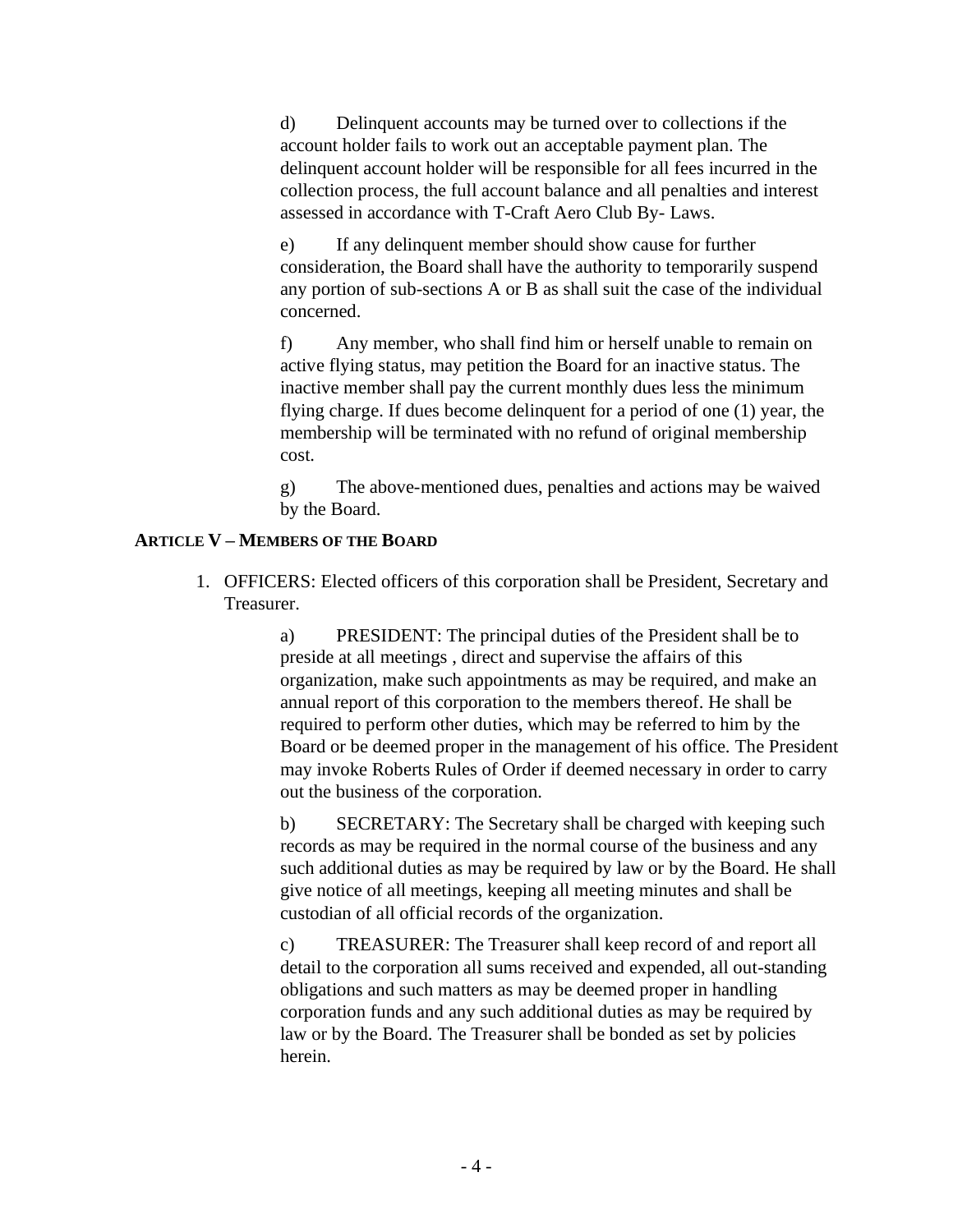d) Delinquent accounts may be turned over to collections if the account holder fails to work out an acceptable payment plan. The delinquent account holder will be responsible for all fees incurred in the collection process, the full account balance and all penalties and interest assessed in accordance with T-Craft Aero Club By- Laws.

e) If any delinquent member should show cause for further consideration, the Board shall have the authority to temporarily suspend any portion of sub-sections A or B as shall suit the case of the individual concerned.

f) Any member, who shall find him or herself unable to remain on active flying status, may petition the Board for an inactive status. The inactive member shall pay the current monthly dues less the minimum flying charge. If dues become delinquent for a period of one (1) year, the membership will be terminated with no refund of original membership cost.

g) The above-mentioned dues, penalties and actions may be waived by the Board.

# **ARTICLE V – MEMBERS OF THE BOARD**

1. OFFICERS: Elected officers of this corporation shall be President, Secretary and Treasurer.

> a) PRESIDENT: The principal duties of the President shall be to preside at all meetings , direct and supervise the affairs of this organization, make such appointments as may be required, and make an annual report of this corporation to the members thereof. He shall be required to perform other duties, which may be referred to him by the Board or be deemed proper in the management of his office. The President may invoke Roberts Rules of Order if deemed necessary in order to carry out the business of the corporation.

> b) SECRETARY: The Secretary shall be charged with keeping such records as may be required in the normal course of the business and any such additional duties as may be required by law or by the Board. He shall give notice of all meetings, keeping all meeting minutes and shall be custodian of all official records of the organization.

c) TREASURER: The Treasurer shall keep record of and report all detail to the corporation all sums received and expended, all out-standing obligations and such matters as may be deemed proper in handling corporation funds and any such additional duties as may be required by law or by the Board. The Treasurer shall be bonded as set by policies herein.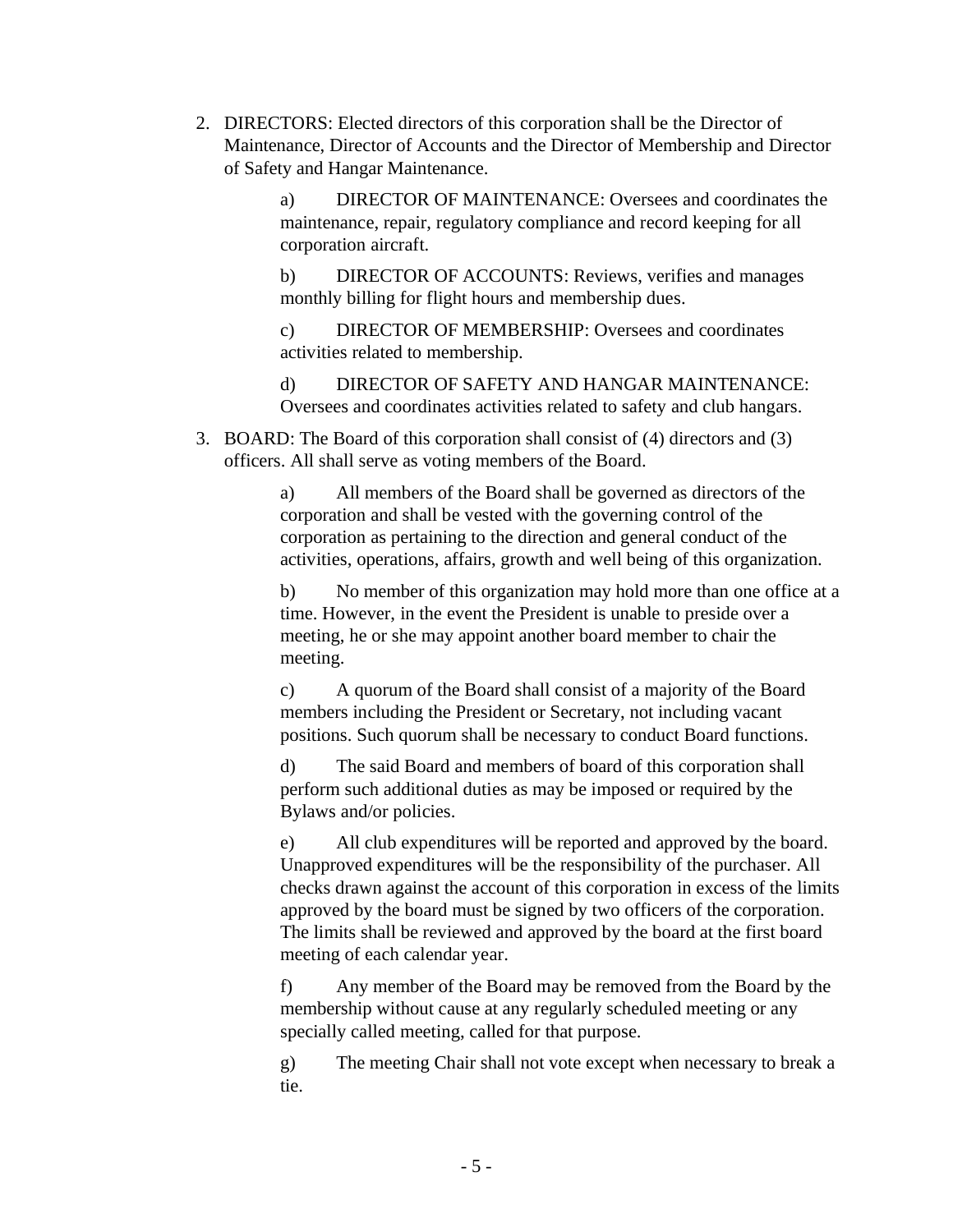2. DIRECTORS: Elected directors of this corporation shall be the Director of Maintenance, Director of Accounts and the Director of Membership and Director of Safety and Hangar Maintenance.

> a) DIRECTOR OF MAINTENANCE: Oversees and coordinates the maintenance, repair, regulatory compliance and record keeping for all corporation aircraft.

b) DIRECTOR OF ACCOUNTS: Reviews, verifies and manages monthly billing for flight hours and membership dues.

c) DIRECTOR OF MEMBERSHIP: Oversees and coordinates activities related to membership.

d) DIRECTOR OF SAFETY AND HANGAR MAINTENANCE: Oversees and coordinates activities related to safety and club hangars.

3. BOARD: The Board of this corporation shall consist of (4) directors and (3) officers. All shall serve as voting members of the Board.

> a) All members of the Board shall be governed as directors of the corporation and shall be vested with the governing control of the corporation as pertaining to the direction and general conduct of the activities, operations, affairs, growth and well being of this organization.

b) No member of this organization may hold more than one office at a time. However, in the event the President is unable to preside over a meeting, he or she may appoint another board member to chair the meeting.

c) A quorum of the Board shall consist of a majority of the Board members including the President or Secretary, not including vacant positions. Such quorum shall be necessary to conduct Board functions.

d) The said Board and members of board of this corporation shall perform such additional duties as may be imposed or required by the Bylaws and/or policies.

e) All club expenditures will be reported and approved by the board. Unapproved expenditures will be the responsibility of the purchaser. All checks drawn against the account of this corporation in excess of the limits approved by the board must be signed by two officers of the corporation. The limits shall be reviewed and approved by the board at the first board meeting of each calendar year.

f) Any member of the Board may be removed from the Board by the membership without cause at any regularly scheduled meeting or any specially called meeting, called for that purpose.

g) The meeting Chair shall not vote except when necessary to break a tie.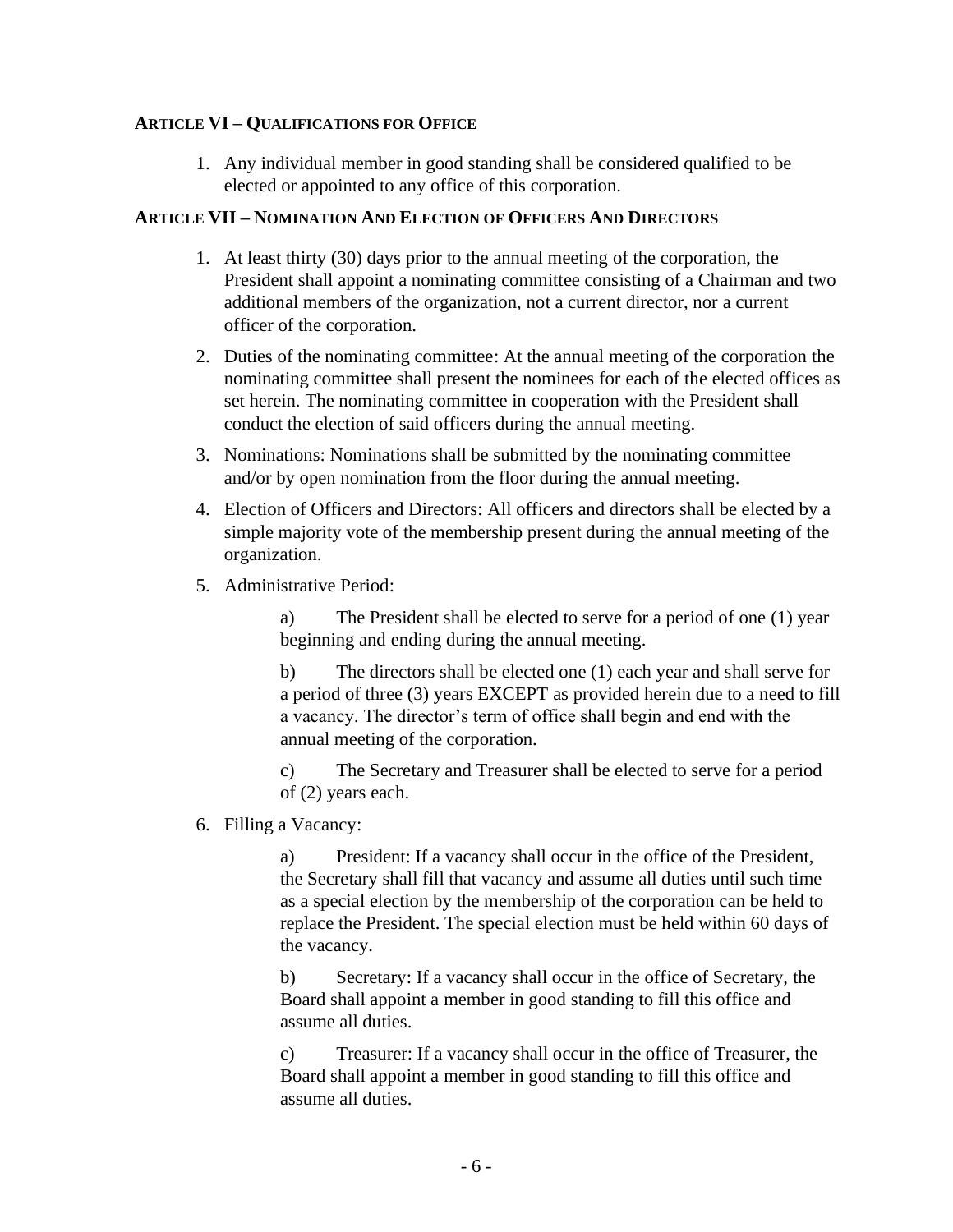#### **ARTICLE VI – QUALIFICATIONS FOR OFFICE**

1. Any individual member in good standing shall be considered qualified to be elected or appointed to any office of this corporation.

#### **ARTICLE VII – NOMINATION AND ELECTION OF OFFICERS AND DIRECTORS**

- 1. At least thirty (30) days prior to the annual meeting of the corporation, the President shall appoint a nominating committee consisting of a Chairman and two additional members of the organization, not a current director, nor a current officer of the corporation.
- 2. Duties of the nominating committee: At the annual meeting of the corporation the nominating committee shall present the nominees for each of the elected offices as set herein. The nominating committee in cooperation with the President shall conduct the election of said officers during the annual meeting.
- 3. Nominations: Nominations shall be submitted by the nominating committee and/or by open nomination from the floor during the annual meeting.
- 4. Election of Officers and Directors: All officers and directors shall be elected by a simple majority vote of the membership present during the annual meeting of the organization.
- 5. Administrative Period:

a) The President shall be elected to serve for a period of one (1) year beginning and ending during the annual meeting.

b) The directors shall be elected one (1) each year and shall serve for a period of three (3) years EXCEPT as provided herein due to a need to fill a vacancy. The director's term of office shall begin and end with the annual meeting of the corporation.

c) The Secretary and Treasurer shall be elected to serve for a period of (2) years each.

6. Filling a Vacancy:

a) President: If a vacancy shall occur in the office of the President, the Secretary shall fill that vacancy and assume all duties until such time as a special election by the membership of the corporation can be held to replace the President. The special election must be held within 60 days of the vacancy.

b) Secretary: If a vacancy shall occur in the office of Secretary, the Board shall appoint a member in good standing to fill this office and assume all duties.

c) Treasurer: If a vacancy shall occur in the office of Treasurer, the Board shall appoint a member in good standing to fill this office and assume all duties.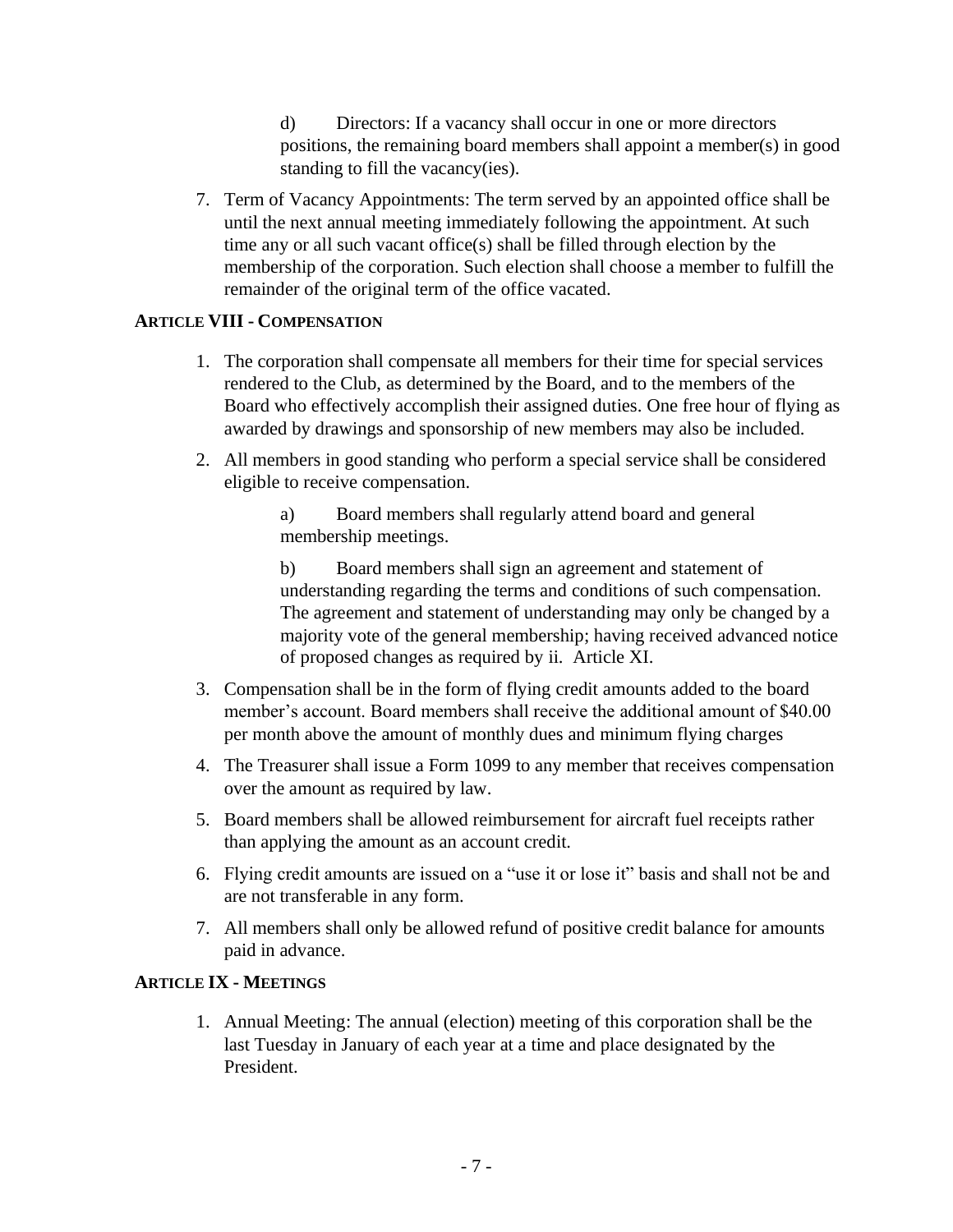d) Directors: If a vacancy shall occur in one or more directors positions, the remaining board members shall appoint a member(s) in good standing to fill the vacancy(ies).

7. Term of Vacancy Appointments: The term served by an appointed office shall be until the next annual meeting immediately following the appointment. At such time any or all such vacant office(s) shall be filled through election by the membership of the corporation. Such election shall choose a member to fulfill the remainder of the original term of the office vacated.

# **ARTICLE VIII - COMPENSATION**

- 1. The corporation shall compensate all members for their time for special services rendered to the Club, as determined by the Board, and to the members of the Board who effectively accomplish their assigned duties. One free hour of flying as awarded by drawings and sponsorship of new members may also be included.
- 2. All members in good standing who perform a special service shall be considered eligible to receive compensation.

a) Board members shall regularly attend board and general membership meetings.

b) Board members shall sign an agreement and statement of understanding regarding the terms and conditions of such compensation. The agreement and statement of understanding may only be changed by a majority vote of the general membership; having received advanced notice of proposed changes as required by ii. Article XI.

- 3. Compensation shall be in the form of flying credit amounts added to the board member's account. Board members shall receive the additional amount of \$40.00 per month above the amount of monthly dues and minimum flying charges
- 4. The Treasurer shall issue a Form 1099 to any member that receives compensation over the amount as required by law.
- 5. Board members shall be allowed reimbursement for aircraft fuel receipts rather than applying the amount as an account credit.
- 6. Flying credit amounts are issued on a "use it or lose it" basis and shall not be and are not transferable in any form.
- 7. All members shall only be allowed refund of positive credit balance for amounts paid in advance.

# **ARTICLE IX - MEETINGS**

1. Annual Meeting: The annual (election) meeting of this corporation shall be the last Tuesday in January of each year at a time and place designated by the President.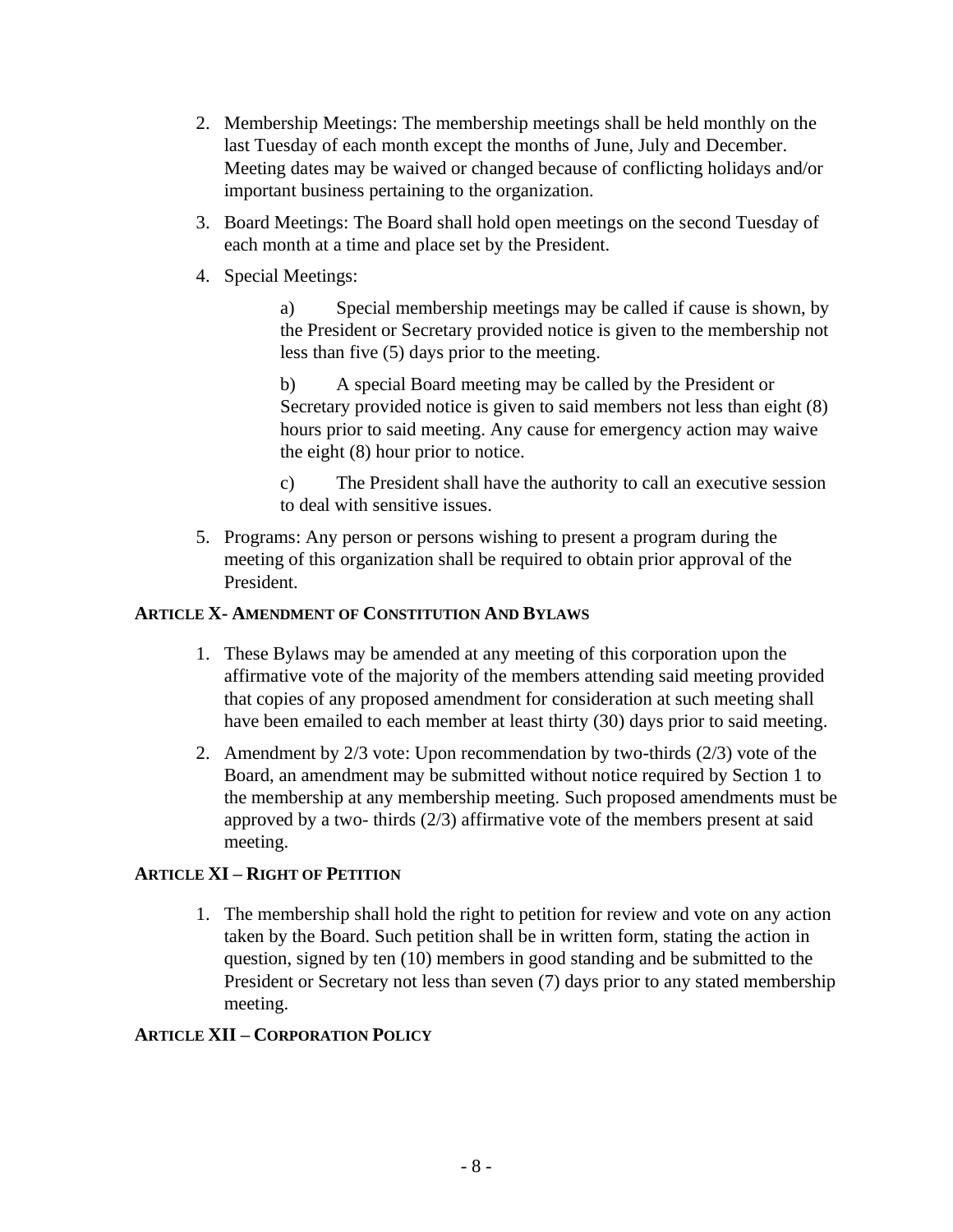- 2. Membership Meetings: The membership meetings shall be held monthly on the last Tuesday of each month except the months of June, July and December. Meeting dates may be waived or changed because of conflicting holidays and/or important business pertaining to the organization.
- 3. Board Meetings: The Board shall hold open meetings on the second Tuesday of each month at a time and place set by the President.
- 4. Special Meetings:

a) Special membership meetings may be called if cause is shown, by the President or Secretary provided notice is given to the membership not less than five (5) days prior to the meeting.

b) A special Board meeting may be called by the President or Secretary provided notice is given to said members not less than eight (8) hours prior to said meeting. Any cause for emergency action may waive the eight (8) hour prior to notice.

- c) The President shall have the authority to call an executive session to deal with sensitive issues.
- 5. Programs: Any person or persons wishing to present a program during the meeting of this organization shall be required to obtain prior approval of the President.

# **ARTICLE X- AMENDMENT OF CONSTITUTION AND BYLAWS**

- 1. These Bylaws may be amended at any meeting of this corporation upon the affirmative vote of the majority of the members attending said meeting provided that copies of any proposed amendment for consideration at such meeting shall have been emailed to each member at least thirty (30) days prior to said meeting.
- 2. Amendment by 2/3 vote: Upon recommendation by two-thirds (2/3) vote of the Board, an amendment may be submitted without notice required by Section 1 to the membership at any membership meeting. Such proposed amendments must be approved by a two- thirds  $(2/3)$  affirmative vote of the members present at said meeting.

# **ARTICLE XI – RIGHT OF PETITION**

1. The membership shall hold the right to petition for review and vote on any action taken by the Board. Such petition shall be in written form, stating the action in question, signed by ten (10) members in good standing and be submitted to the President or Secretary not less than seven (7) days prior to any stated membership meeting.

# **ARTICLE XII – CORPORATION POLICY**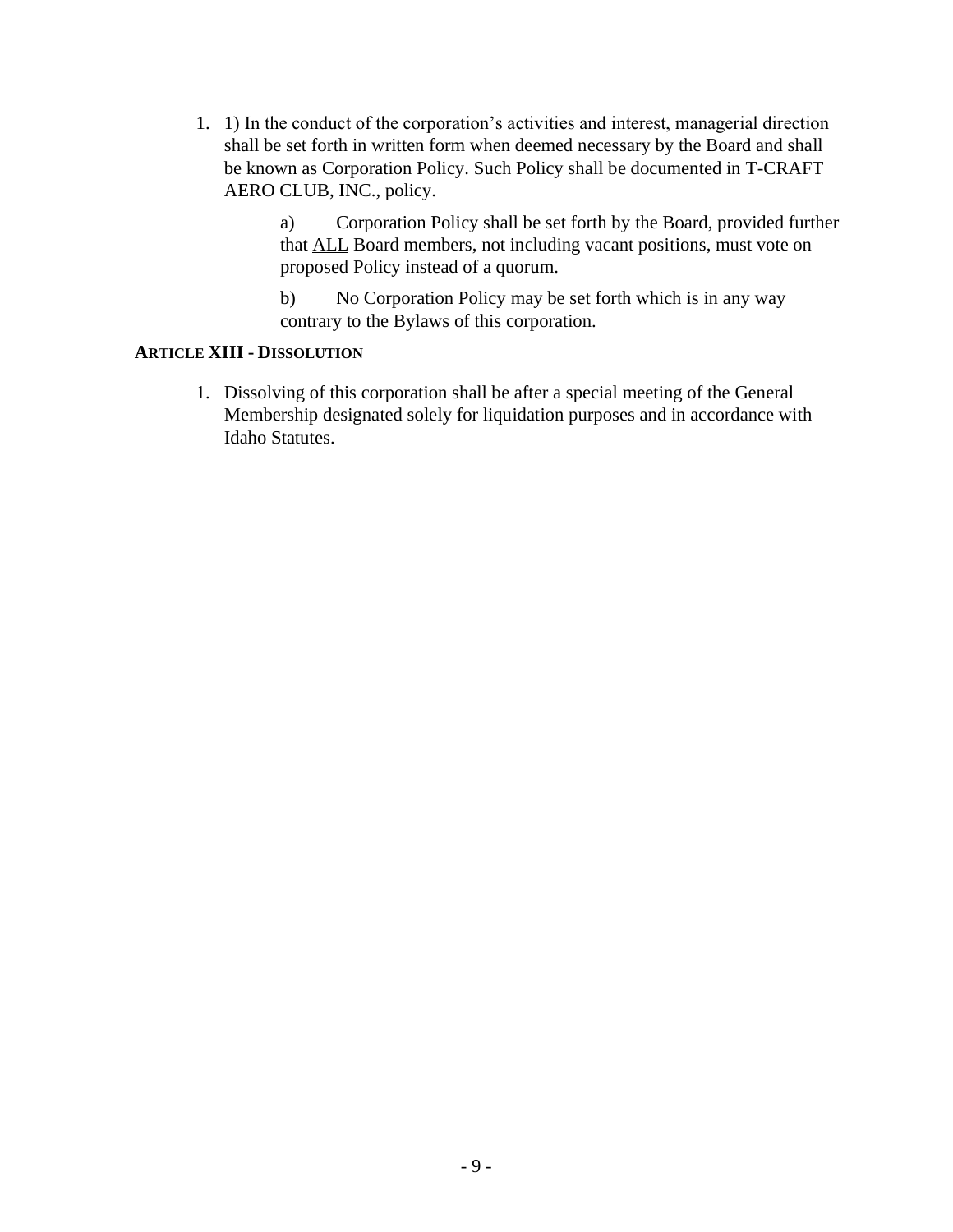1. 1) In the conduct of the corporation's activities and interest, managerial direction shall be set forth in written form when deemed necessary by the Board and shall be known as Corporation Policy. Such Policy shall be documented in T-CRAFT AERO CLUB, INC., policy.

> a) Corporation Policy shall be set forth by the Board, provided further that ALL Board members, not including vacant positions, must vote on proposed Policy instead of a quorum.

b) No Corporation Policy may be set forth which is in any way contrary to the Bylaws of this corporation.

#### **ARTICLE XIII - DISSOLUTION**

1. Dissolving of this corporation shall be after a special meeting of the General Membership designated solely for liquidation purposes and in accordance with Idaho Statutes.